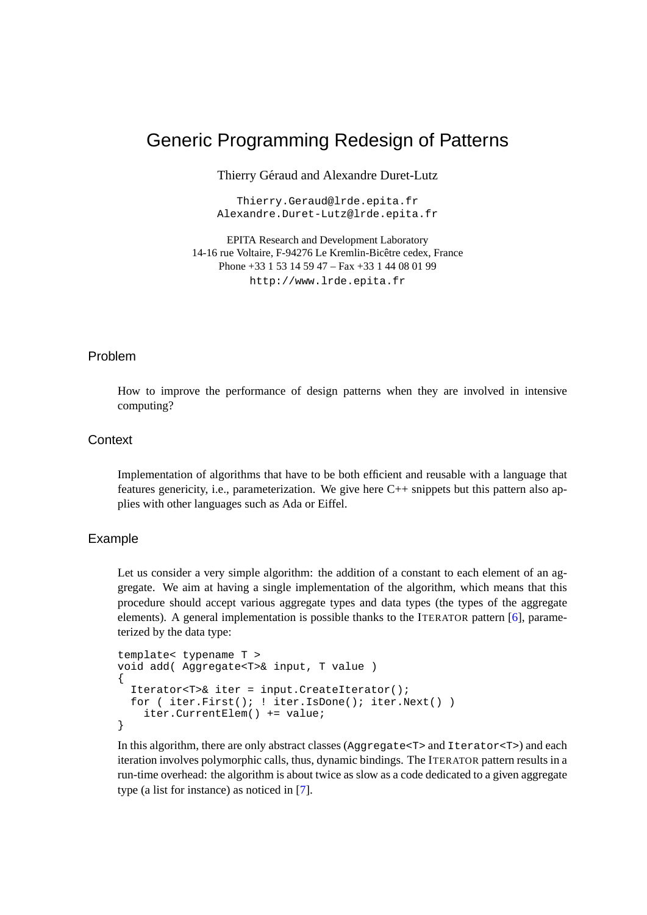# Generic Programming Redesign of Patterns

Thierry Géraud and Alexandre Duret-Lutz

Thierry.Geraud@lrde.epita.fr Alexandre.Duret-Lutz@lrde.epita.fr

EPITA Research and Development Laboratory 14-16 rue Voltaire, F-94276 Le Kremlin-Bicetre cedex, France ˆ Phone +33 1 53 14 59 47 – Fax +33 1 44 08 01 99 http://www.lrde.epita.fr

#### Problem

How to improve the performance of design patterns when they are involved in intensive computing?

## **Context**

Implementation of algorithms that have to be both efficient and reusable with a language that features genericity, i.e., parameterization. We give here C++ snippets but this pattern also applies with other languages such as Ada or Eiffel.

#### Example

Let us consider a very simple algorithm: the addition of a constant to each element of an aggregate. We aim at having a single implementation of the algorithm, which means that this procedure should accept various aggregate types and data types (the types of the aggregate elements). A general implementation is possible thanks to the ITERATOR pattern [\[6\]](#page-11-0), parameterized by the data type:

```
template< typename T >
void add( Aggregate<T>& input, T value )
{
  Iterator<T>& iter = input.CreateIterator();
  for ( iter.First(); ! iter.IsDone(); iter.Next() )
    iter.CurrentElem() += value;
}
```
In this algorithm, there are only abstract classes (Aggregate<T> and Iterator<T>) and each iteration involves polymorphic calls, thus, dynamic bindings. The ITERATOR pattern results in a run-time overhead: the algorithm is about twice as slow as a code dedicated to a given aggregate type (a list for instance) as noticed in [\[7\]](#page-11-1).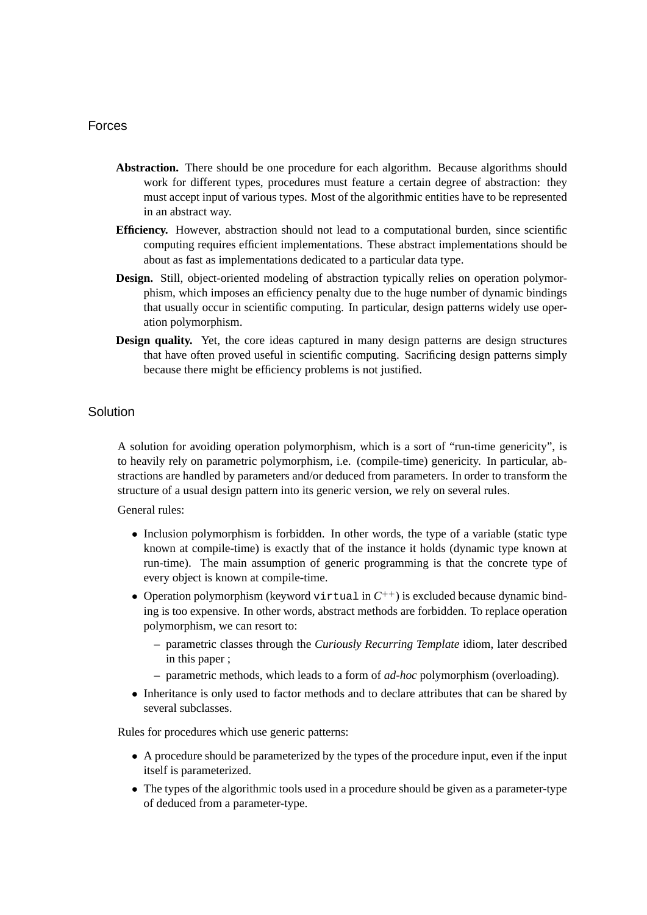## Forces

- **Abstraction.** There should be one procedure for each algorithm. Because algorithms should work for different types, procedures must feature a certain degree of abstraction: they must accept input of various types. Most of the algorithmic entities have to be represented in an abstract way.
- **Efficiency.** However, abstraction should not lead to a computational burden, since scientific computing requires efficient implementations. These abstract implementations should be about as fast as implementations dedicated to a particular data type.
- **Design.** Still, object-oriented modeling of abstraction typically relies on operation polymorphism, which imposes an efficiency penalty due to the huge number of dynamic bindings that usually occur in scientific computing. In particular, design patterns widely use operation polymorphism.
- **Design quality.** Yet, the core ideas captured in many design patterns are design structures that have often proved useful in scientific computing. Sacrificing design patterns simply because there might be efficiency problems is not justified.

## **Solution**

A solution for avoiding operation polymorphism, which is a sort of "run-time genericity", is to heavily rely on parametric polymorphism, i.e. (compile-time) genericity. In particular, abstractions are handled by parameters and/or deduced from parameters. In order to transform the structure of a usual design pattern into its generic version, we rely on several rules.

General rules:

- Inclusion polymorphism is forbidden. In other words, the type of a variable (static type known at compile-time) is exactly that of the instance it holds (dynamic type known at run-time). The main assumption of generic programming is that the concrete type of every object is known at compile-time.
- Operation polymorphism (keyword virtual in  $C^{++}$ ) is excluded because dynamic binding is too expensive. In other words, abstract methods are forbidden. To replace operation polymorphism, we can resort to:
	- **–** parametric classes through the *Curiously Recurring Template* idiom, later described in this paper ;
	- **–** parametric methods, which leads to a form of *ad-hoc* polymorphism (overloading).
- Inheritance is only used to factor methods and to declare attributes that can be shared by several subclasses.

Rules for procedures which use generic patterns:

- A procedure should be parameterized by the types of the procedure input, even if the input itself is parameterized.
- The types of the algorithmic tools used in a procedure should be given as a parameter-type of deduced from a parameter-type.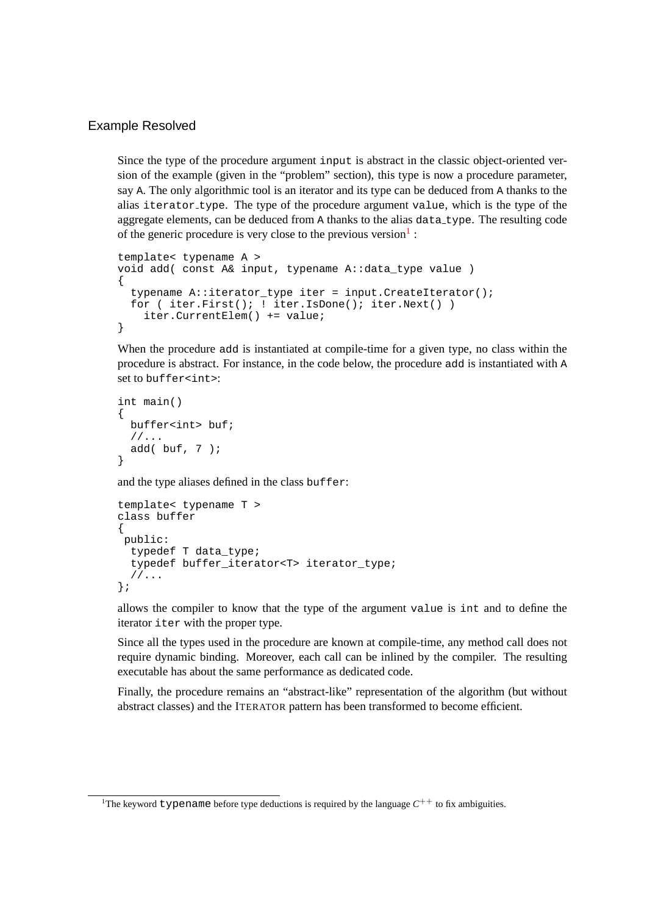## Example Resolved

Since the type of the procedure argument input is abstract in the classic object-oriented version of the example (given in the "problem" section), this type is now a procedure parameter, say A. The only algorithmic tool is an iterator and its type can be deduced from A thanks to the alias iterator type. The type of the procedure argument value, which is the type of the aggregate elements, can be deduced from A thanks to the alias data type. The resulting code of the generic procedure is very close to the previous version $<sup>1</sup>$  $<sup>1</sup>$  $<sup>1</sup>$ :</sup>

```
template< typename A >
void add( const A& input, typename A::data_type value )
{
  typename A::iterator_type iter = input.CreateIterator();
  for ( iter.First(); ! iter.IsDone(); iter.Next() )
    iter.CurrentElem() += value;
}
```
When the procedure add is instantiated at compile-time for a given type, no class within the procedure is abstract. For instance, in the code below, the procedure add is instantiated with A set to buffer<int>:

```
int main()
{
 buffer<int> buf;
 //...
 add(but, 7);
}
```
and the type aliases defined in the class buffer:

```
template< typename T >
class buffer
{
public:
  typedef T data_type;
  typedef buffer_iterator<T> iterator_type;
  //\ldots};
```
allows the compiler to know that the type of the argument value is int and to define the iterator iter with the proper type.

Since all the types used in the procedure are known at compile-time, any method call does not require dynamic binding. Moreover, each call can be inlined by the compiler. The resulting executable has about the same performance as dedicated code.

Finally, the procedure remains an "abstract-like" representation of the algorithm (but without abstract classes) and the ITERATOR pattern has been transformed to become efficient.

<span id="page-2-0"></span><sup>&</sup>lt;sup>1</sup>The keyword typename before type deductions is required by the language  $C^{++}$  to fix ambiguities.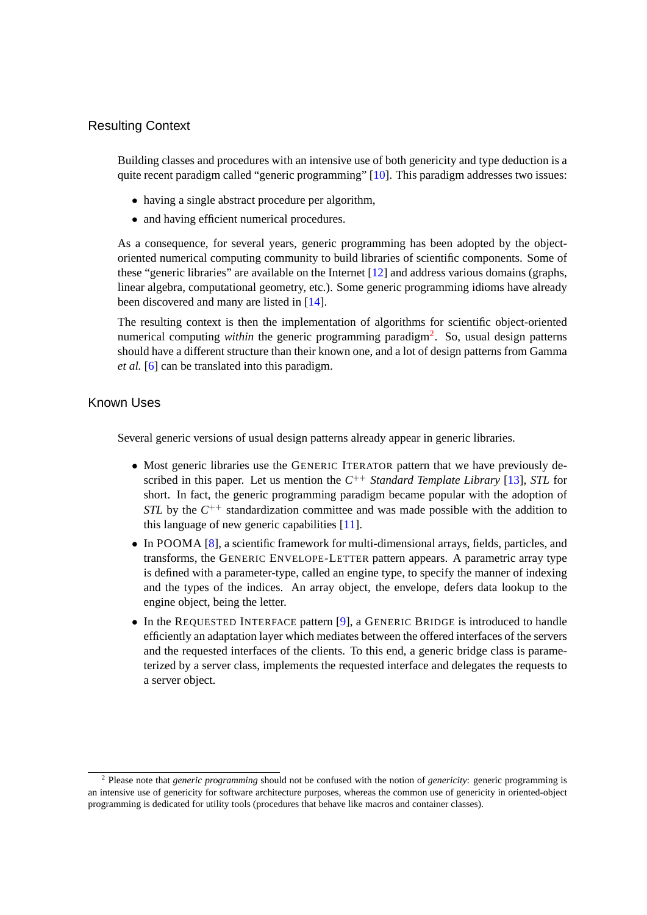## Resulting Context

Building classes and procedures with an intensive use of both genericity and type deduction is a quite recent paradigm called "generic programming" [[10\]](#page-11-2). This paradigm addresses two issues:

- having a single abstract procedure per algorithm,
- and having efficient numerical procedures.

As a consequence, for several years, generic programming has been adopted by the objectoriented numerical computing community to build libraries of scientific components. Some of these "generic libraries" are available on the Internet [\[12](#page-11-3)] and address various domains (graphs, linear algebra, computational geometry, etc.). Some generic programming idioms have already been discovered and many are listed in [[14\]](#page-11-4).

The resulting context is then the implementation of algorithms for scientific object-oriented numerical computing *within* the generic programming paradigm<sup>[2](#page-3-0)</sup>. So, usual design patterns should have a different structure than their known one, and a lot of design patterns from Gamma *et al.* [\[6\]](#page-11-0) can be translated into this paradigm.

## Known Uses

Several generic versions of usual design patterns already appear in generic libraries.

- Most generic libraries use the GENERIC ITERATOR pattern that we have previously described in this paper. Let us mention the  $C^{++}$  *Standard Template Library* [\[13](#page-11-5)], *STL* for short. In fact, the generic programming paradigm became popular with the adoption of *STL* by the  $C^{++}$  standardization committee and was made possible with the addition to this language of new generic capabilities [\[11](#page-11-6)].
- In POOMA [\[8\]](#page-11-7), a scientific framework for multi-dimensional arrays, fields, particles, and transforms, the GENERIC ENVELOPE-LETTER pattern appears. A parametric array type is defined with a parameter-type, called an engine type, to specify the manner of indexing and the types of the indices. An array object, the envelope, defers data lookup to the engine object, being the letter.
- In the REQUESTED INTERFACE pattern [[9](#page-11-8)], a GENERIC BRIDGE is introduced to handle efficiently an adaptation layer which mediates between the offered interfaces of the servers and the requested interfaces of the clients. To this end, a generic bridge class is parameterized by a server class, implements the requested interface and delegates the requests to a server object.

<span id="page-3-0"></span><sup>2</sup> Please note that *generic programming* should not be confused with the notion of *genericity*: generic programming is an intensive use of genericity for software architecture purposes, whereas the common use of genericity in oriented-object programming is dedicated for utility tools (procedures that behave like macros and container classes).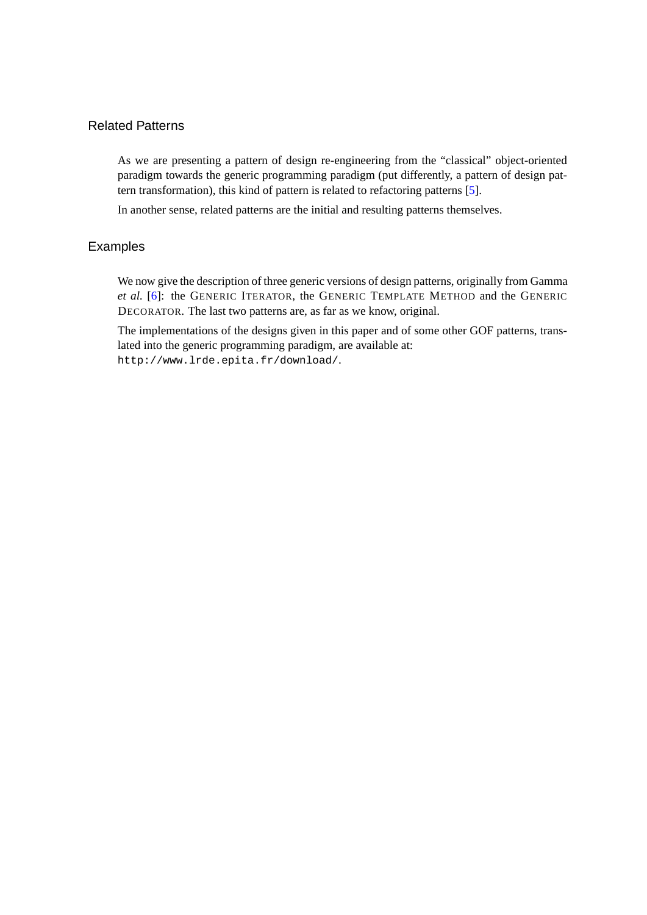# Related Patterns

As we are presenting a pattern of design re-engineering from the "classical" object-oriented paradigm towards the generic programming paradigm (put differently, a pattern of design pattern transformation), this kind of pattern is related to refactoring patterns [[5](#page-11-9)].

In another sense, related patterns are the initial and resulting patterns themselves.

## Examples

We now give the description of three generic versions of design patterns, originally from Gamma *et al.* [\[6\]](#page-11-0): the GENERIC ITERATOR, the GENERIC TEMPLATE METHOD and the GENERIC DECORATOR. The last two patterns are, as far as we know, original.

The implementations of the designs given in this paper and of some other GOF patterns, translated into the generic programming paradigm, are available at: http://www.lrde.epita.fr/download/.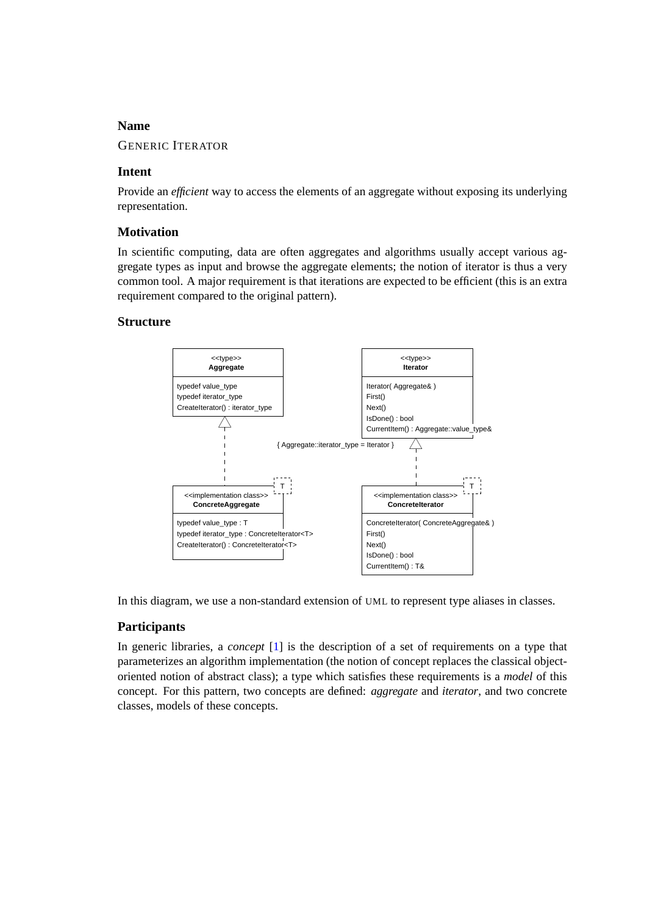#### **Name**

#### GENERIC ITERATOR

#### **Intent**

Provide an *efficient* way to access the elements of an aggregate without exposing its underlying representation.

#### **Motivation**

In scientific computing, data are often aggregates and algorithms usually accept various aggregate types as input and browse the aggregate elements; the notion of iterator is thus a very common tool. A major requirement is that iterations are expected to be efficient (this is an extra requirement compared to the original pattern).

#### **Structure**



In this diagram, we use a non-standard extension of UML to represent type aliases in classes.

#### **Participants**

In generic libraries, a *concept* [\[1\]](#page-11-10) is the description of a set of requirements on a type that parameterizes an algorithm implementation (the notion of concept replaces the classical objectoriented notion of abstract class); a type which satisfies these requirements is a *model* of this concept. For this pattern, two concepts are defined: *aggregate* and *iterator*, and two concrete classes, models of these concepts.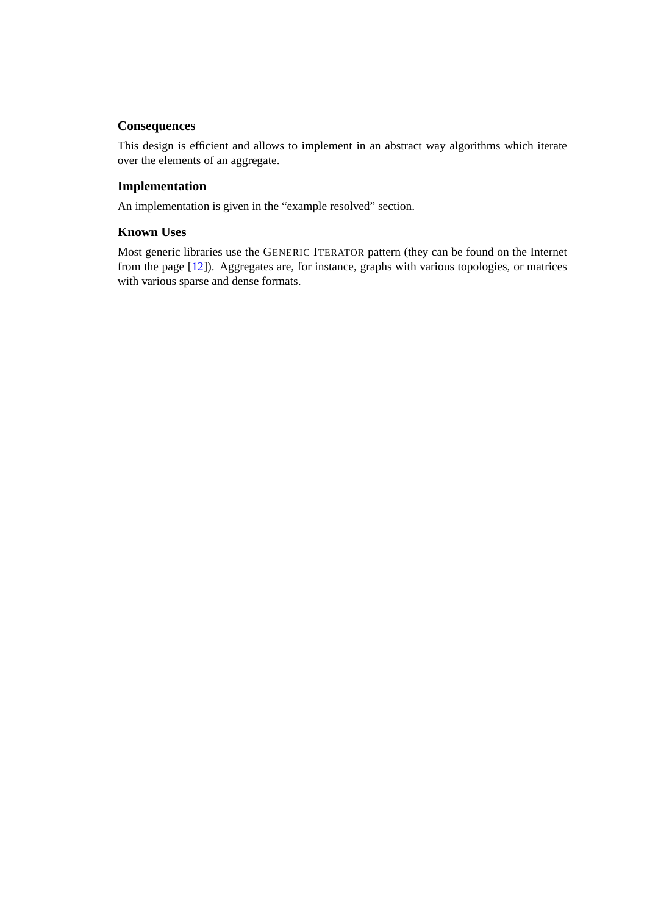## **Consequences**

This design is efficient and allows to implement in an abstract way algorithms which iterate over the elements of an aggregate.

## **Implementation**

An implementation is given in the "example resolved" section.

## **Known Uses**

Most generic libraries use the GENERIC ITERATOR pattern (they can be found on the Internet from the page [\[12](#page-11-3)]). Aggregates are, for instance, graphs with various topologies, or matrices with various sparse and dense formats.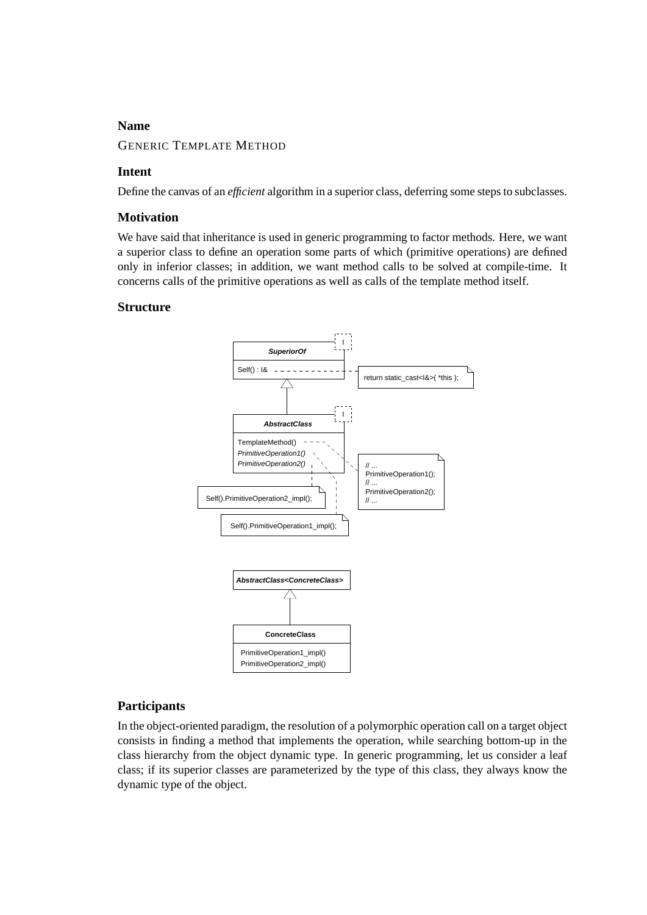## **Name**

#### GENERIC TEMPLATE METHOD

#### **Intent**

Define the canvas of an *efficient* algorithm in a superior class, deferring some steps to subclasses.

#### **Motivation**

We have said that inheritance is used in generic programming to factor methods. Here, we want a superior class to define an operation some parts of which (primitive operations) are defined only in inferior classes; in addition, we want method calls to be solved at compile-time. It concerns calls of the primitive operations as well as calls of the template method itself.

#### **Structure**



#### **Participants**

In the object-oriented paradigm, the resolution of a polymorphic operation call on a target object consists in finding a method that implements the operation, while searching bottom-up in the class hierarchy from the object dynamic type. In generic programming, let us consider a leaf class; if its superior classes are parameterized by the type of this class, they always know the dynamic type of the object.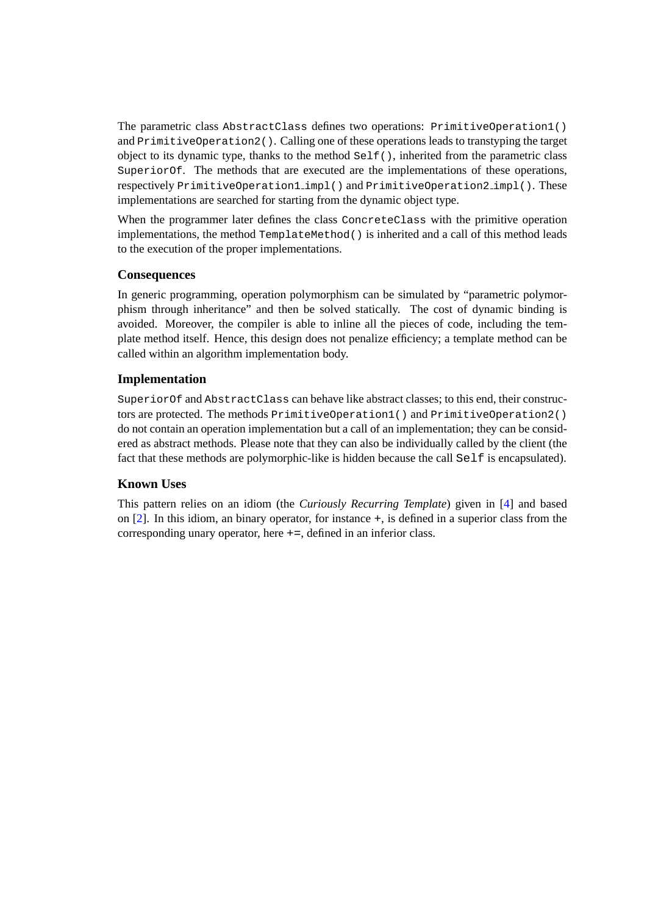The parametric class AbstractClass defines two operations: PrimitiveOperation1() and PrimitiveOperation2(). Calling one of these operations leads to transtyping the target object to its dynamic type, thanks to the method  $\text{Self}()$ , inherited from the parametric class SuperiorOf. The methods that are executed are the implementations of these operations, respectively PrimitiveOperation1 impl() and PrimitiveOperation2 impl(). These implementations are searched for starting from the dynamic object type.

When the programmer later defines the class ConcreteClass with the primitive operation implementations, the method  $\text{TemplateMethod}(.)$  is inherited and a call of this method leads to the execution of the proper implementations.

#### **Consequences**

In generic programming, operation polymorphism can be simulated by "parametric polymorphism through inheritance" and then be solved statically. The cost of dynamic binding is avoided. Moreover, the compiler is able to inline all the pieces of code, including the template method itself. Hence, this design does not penalize efficiency; a template method can be called within an algorithm implementation body.

#### **Implementation**

SuperiorOf and AbstractClass can behave like abstract classes; to this end, their constructors are protected. The methods PrimitiveOperation1() and PrimitiveOperation2() do not contain an operation implementation but a call of an implementation; they can be considered as abstract methods. Please note that they can also be individually called by the client (the fact that these methods are polymorphic-like is hidden because the call  $\text{Self}$  is encapsulated).

#### **Known Uses**

This pattern relies on an idiom (the *Curiously Recurring Template*) given in [[4](#page-11-11)] and based on [[2](#page-11-12)]. In this idiom, an binary operator, for instance +, is defined in a superior class from the corresponding unary operator, here +=, defined in an inferior class.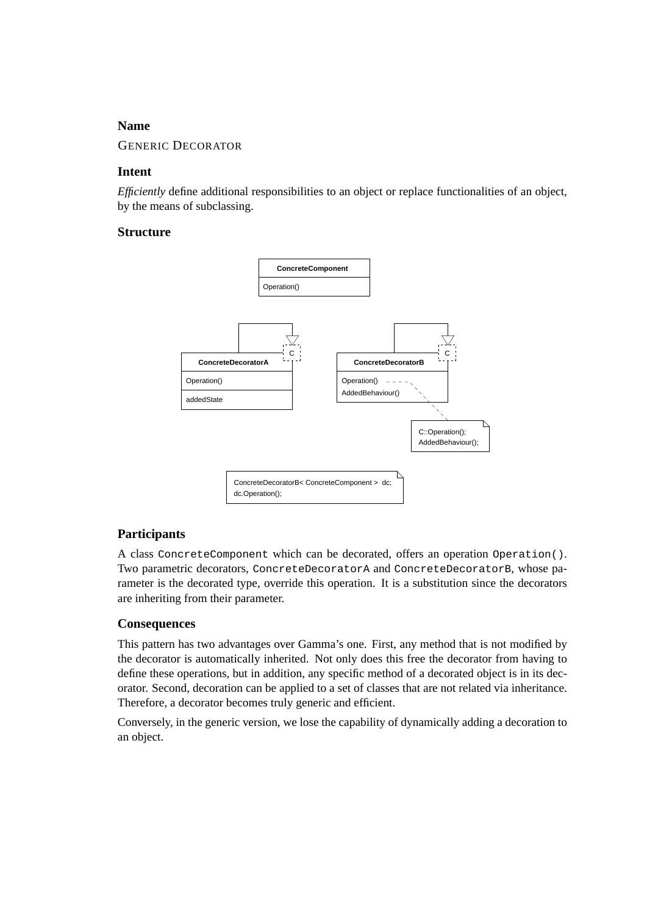## **Name**

#### GENERIC DECORATOR

#### **Intent**

*Efficiently* define additional responsibilities to an object or replace functionalities of an object, by the means of subclassing.

#### **Structure**



#### **Participants**

A class ConcreteComponent which can be decorated, offers an operation Operation(). Two parametric decorators, ConcreteDecoratorA and ConcreteDecoratorB, whose parameter is the decorated type, override this operation. It is a substitution since the decorators are inheriting from their parameter.

#### **Consequences**

This pattern has two advantages over Gamma's one. First, any method that is not modified by the decorator is automatically inherited. Not only does this free the decorator from having to define these operations, but in addition, any specific method of a decorated object is in its decorator. Second, decoration can be applied to a set of classes that are not related via inheritance. Therefore, a decorator becomes truly generic and efficient.

Conversely, in the generic version, we lose the capability of dynamically adding a decoration to an object.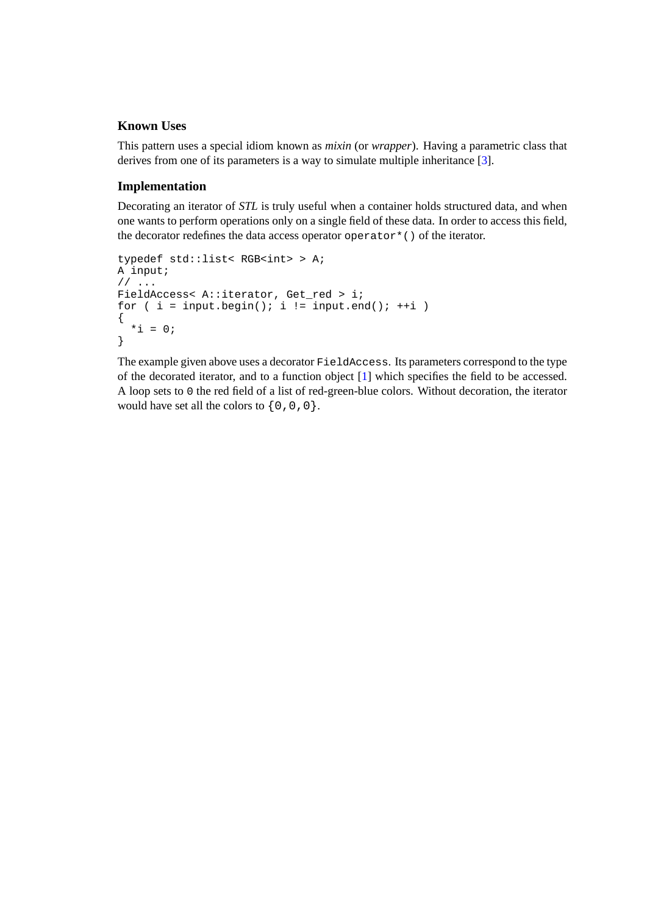## **Known Uses**

This pattern uses a special idiom known as *mixin* (or *wrapper*). Having a parametric class that derives from one of its parameters is a way to simulate multiple inheritance [\[3\]](#page-11-13).

#### **Implementation**

Decorating an iterator of *STL* is truly useful when a container holds structured data, and when one wants to perform operations only on a single field of these data. In order to access this field, the decorator redefines the data access operator operator $*$  () of the iterator.

```
typedef std::list< RGB<int> > A;
A input;
// ...
FieldAccess< A::iterator, Get_red > i;
for ( i = input.begin(); i := input.end(); ++i )
{
  *i = 0;
}
```
The example given above uses a decorator FieldAccess. Its parameters correspond to the type of the decorated iterator, and to a function object [[1](#page-11-10)] which specifies the field to be accessed. A loop sets to 0 the red field of a list of red-green-blue colors. Without decoration, the iterator would have set all the colors to  $\{0, 0, 0\}$ .